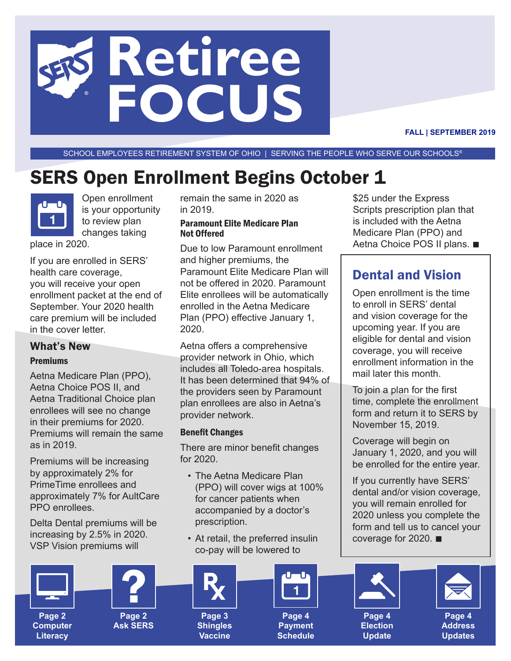# **Retiree FOCUS**

**FALL | SEPTEMBER 2019**

SCHOOL EMPLOYEES RETIREMENT SYSTEM OF OHIO | SERVING THE PEOPLE WHO SERVE OUR SCHOOLS®

## **SERS Open Enrollment Begins October 1**



Open enrollment is your opportunity to review plan changes taking

place in 2020.

If you are enrolled in SERS' health care coverage, you will receive your open enrollment packet at the end of September. Your 2020 health care premium will be included in the cover letter.

#### What's New

#### Premiums

Aetna Medicare Plan (PPO), Aetna Choice POS II, and Aetna Traditional Choice plan enrollees will see no change in their premiums for 2020. Premiums will remain the same as in 2019.

Premiums will be increasing by approximately 2% for PrimeTime enrollees and approximately 7% for AultCare PPO enrollees.

Delta Dental premiums will be increasing by 2.5% in 2020. VSP Vision premiums will



**Computer Literacy**

**Page 2**

**Ask SERS**

remain the same in 2020 as in 2019.

#### Paramount Elite Medicare Plan Not Offered

Due to low Paramount enrollment and higher premiums, the Paramount Elite Medicare Plan will not be offered in 2020. Paramount Elite enrollees will be automatically enrolled in the Aetna Medicare Plan (PPO) effective January 1, 2020.

Aetna offers a comprehensive provider network in Ohio, which includes all Toledo-area hospitals. It has been determined that 94% of the providers seen by Paramount plan enrollees are also in Aetna's provider network.

#### Benefit Changes

There are minor benefit changes for 2020.

- The Aetna Medicare Plan (PPO) will cover wigs at 100% for cancer patients when accompanied by a doctor's prescription.
- At retail, the preferred insulin co-pay will be lowered to



**Vaccine**



**Payment Schedule**

\$25 under the Express Scripts prescription plan that is included with the Aetna Medicare Plan (PPO) and Aetna Choice POS II plans. ■

## Dental and Vision

Open enrollment is the time to enroll in SERS' dental and vision coverage for the upcoming year. If you are eligible for dental and vision coverage, you will receive enrollment information in the mail later this month.

To join a plan for the first time, complete the enrollment form and return it to SERS by November 15, 2019.

Coverage will begin on January 1, 2020, and you will be enrolled for the entire year.

If you currently have SERS' dental and/or vision coverage, you will remain enrolled for 2020 unless you complete the form and tell us to cancel your coverage for 2020.  $\blacksquare$ 





**Page 4 Election Update**

**Page 4 Address Updates**

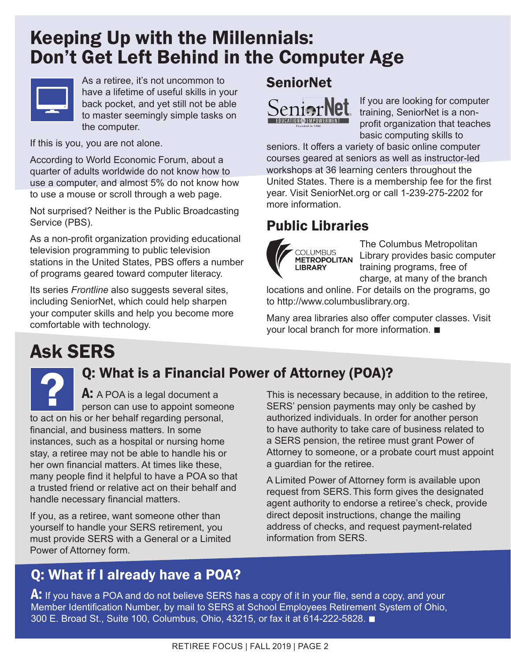## Keeping Up with the Millennials: Don't Get Left Behind in the Computer Age



As a retiree, it's not uncommon to have a lifetime of useful skills in your back pocket, and yet still not be able to master seemingly simple tasks on the computer.

If this is you, you are not alone.

According to World Economic Forum, about a quarter of adults worldwide do not know how to use a computer, and almost 5% do not know how to use a mouse or scroll through a web page.

Not surprised? Neither is the Public Broadcasting Service (PBS).

As a non-profit organization providing educational television programming to public television stations in the United States, PBS offers a number of programs geared toward computer literacy.

Its series *Frontline* also suggests several sites, including SeniorNet, which could help sharpen your computer skills and help you become more comfortable with technology.

## SeniorNet



If you are looking for computer training, SeniorNet is a nonprofit organization that teaches basic computing skills to

seniors. It offers a variety of basic online computer courses geared at seniors as well as instructor-led workshops at 36 learning centers throughout the United States. There is a membership fee for the first year. Visit SeniorNet.org or call 1-239-275-2202 for more information.

## Public Libraries



The Columbus Metropolitan Library provides basic computer training programs, free of charge, at many of the branch

locations and online. For details on the programs, go to http://www.columbuslibrary.org.

Many area libraries also offer computer classes. Visit your local branch for more information.  $\blacksquare$ 

## Ask SERS

## Q: What is a Financial Power of Attorney (POA)?

A: A POA is a legal document a person can use to appoint someone to act on his or her behalf regarding personal, financial, and business matters. In some instances, such as a hospital or nursing home stay, a retiree may not be able to handle his or her own financial matters. At times like these, many people find it helpful to have a POA so that a trusted friend or relative act on their behalf and handle necessary financial matters.

If you, as a retiree, want someone other than yourself to handle your SERS retirement, you must provide SERS with a General or a Limited Power of Attorney form.

This is necessary because, in addition to the retiree, SERS' pension payments may only be cashed by authorized individuals. In order for another person to have authority to take care of business related to a SERS pension, the retiree must grant Power of Attorney to someone, or a probate court must appoint a guardian for the retiree.

A Limited Power of Attorney form is available upon request from SERS. This form gives the designated agent authority to endorse a retiree's check, provide direct deposit instructions, change the mailing address of checks, and request payment-related information from SERS.

## Q: What if I already have a POA?

 $\mathsf{A}\text{:}$  If you have a POA and do not believe SERS has a copy of it in your file, send a copy, and your Member Identification Number, by mail to SERS at School Employees Retirement System of Ohio, 300 E. Broad St., Suite 100, Columbus, Ohio, 43215, or fax it at 614-222-5828. ■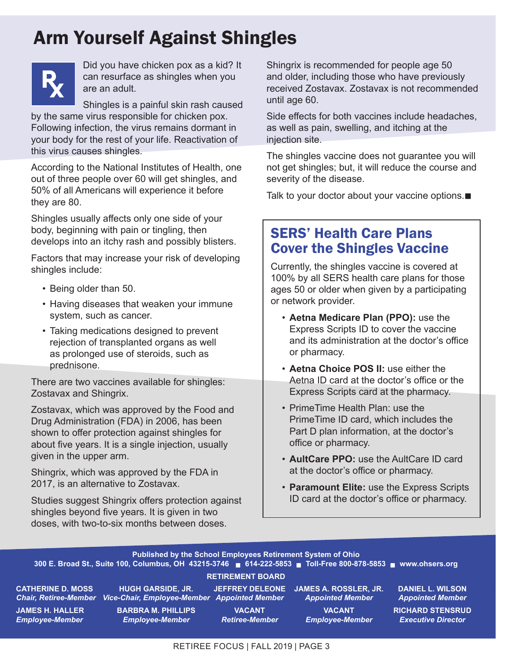## Arm Yourself Against Shingles



Did you have chicken pox as a kid? It can resurface as shingles when you are an adult.

Shingles is a painful skin rash caused

by the same virus responsible for chicken pox. Following infection, the virus remains dormant in your body for the rest of your life. Reactivation of this virus causes shingles.

According to the National Institutes of Health, one out of three people over 60 will get shingles, and 50% of all Americans will experience it before they are 80.

Shingles usually affects only one side of your body, beginning with pain or tingling, then develops into an itchy rash and possibly blisters.

Factors that may increase your risk of developing shingles include:

- Being older than 50.
- Having diseases that weaken your immune system, such as cancer.
- Taking medications designed to prevent rejection of transplanted organs as well as prolonged use of steroids, such as prednisone.

There are two vaccines available for shingles: Zostavax and Shingrix.

Zostavax, which was approved by the Food and Drug Administration (FDA) in 2006, has been shown to offer protection against shingles for about five years. It is a single injection, usually given in the upper arm.

Shingrix, which was approved by the FDA in 2017, is an alternative to Zostavax.

Studies suggest Shingrix offers protection against shingles beyond five years. It is given in two doses, with two-to-six months between doses.

Shingrix is recommended for people age 50 and older, including those who have previously received Zostavax. Zostavax is not recommended until age 60.

Side effects for both vaccines include headaches, as well as pain, swelling, and itching at the injection site.

The shingles vaccine does not guarantee you will not get shingles; but, it will reduce the course and severity of the disease.

Talk to your doctor about your vaccine options. $\blacksquare$ 

## SERS' Health Care Plans Cover the Shingles Vaccine

Currently, the shingles vaccine is covered at 100% by all SERS health care plans for those ages 50 or older when given by a participating or network provider.

- **Aetna Medicare Plan (PPO):** use the Express Scripts ID to cover the vaccine and its administration at the doctor's office or pharmacy.
- **Aetna Choice POS II:** use either the Aetna ID card at the doctor's office or the Express Scripts card at the pharmacy.
- PrimeTime Health Plan: use the PrimeTime ID card, which includes the Part D plan information, at the doctor's office or pharmacy.
- **AultCare PPO:** use the AultCare ID card at the doctor's office or pharmacy.
- **Paramount Elite:** use the Express Scripts ID card at the doctor's office or pharmacy.



RETIREE FOCUS | FALL 2019 | PAGE 3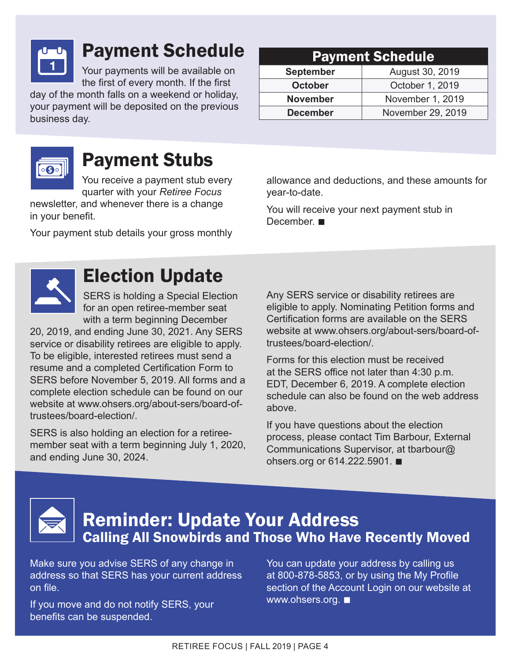

## Payment Schedule

Your payments will be available on the first of every month. If the first

day of the month falls on a weekend or holiday, your payment will be deposited on the previous business day.

## Payment Stubs

You receive a payment stub every quarter with your *Retiree Focus*

newsletter, and whenever there is a change in your benefit.

Your payment stub details your gross monthly

#### Payment Schedule

| <b>September</b> | August 30, 2019   |
|------------------|-------------------|
| <b>October</b>   | October 1, 2019   |
| <b>November</b>  | November 1, 2019  |
| <b>December</b>  | November 29, 2019 |

allowance and deductions, and these amounts for year-to-date.

You will receive your next payment stub in December.



## Election Update

SERS is holding a Special Election for an open retiree-member seat with a term beginning December

20, 2019, and ending June 30, 2021. Any SERS service or disability retirees are eligible to apply. To be eligible, interested retirees must send a resume and a completed Certification Form to SERS before November 5, 2019. All forms and a complete election schedule can be found on our website at www.ohsers.org/about-sers/board-oftrustees/board-election/.

SERS is also holding an election for a retireemember seat with a term beginning July 1, 2020, and ending June 30, 2024.

Any SERS service or disability retirees are eligible to apply. Nominating Petition forms and Certification forms are available on the SERS website at www.ohsers.org/about-sers/board-oftrustees/board-election/.

Forms for this election must be received at the SERS office not later than 4:30 p.m. EDT, December 6, 2019. A complete election schedule can also be found on the web address above.

If you have questions about the election process, please contact Tim Barbour, External Communications Supervisor, at tbarbour@ ohsers.org or  $614.222.5901.$ 



## Reminder: Update Your Address Calling All Snowbirds and Those Who Have Recently Moved

Make sure you advise SERS of any change in address so that SERS has your current address on file.

If you move and do not notify SERS, your benefits can be suspended.

You can update your address by calling us at 800-878-5853, or by using the My Profile section of the Account Login on our website at www.ohsers.org.  $\blacksquare$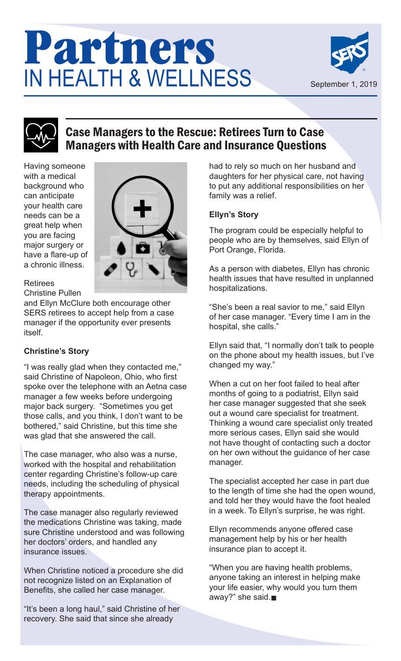## Partners IN HEALTH & WELLNESS





## Case Managers to the Rescue: Retirees Turn to Case Managers with Health Care and Insurance Questions

Having someone with a medical background who can anticipate your health care needs can be a great help when you are facing major surgery or have a flare-up of a chronic illness.



#### Retirees

Christine Pullen

and Ellyn McClure both encourage other SERS retirees to accept help from a case manager if the opportunity ever presents itself.

#### **Christine's Story**

"I was really glad when they contacted me," said Christine of Napoleon, Ohio, who first spoke over the telephone with an Aetna case manager a few weeks before undergoing major back surgery. "Sometimes you get those calls, and you think, I don't want to be bothered," said Christine, but this time she was glad that she answered the call.

The case manager, who also was a nurse, worked with the hospital and rehabilitation center regarding Christine's follow-up care needs, including the scheduling of physical therapy appointments.

The case manager also regularly reviewed the medications Christine was taking, made sure Christine understood and was following her doctors' orders, and handled any insurance issues.

When Christine noticed a procedure she did not recognize listed on an Explanation of Benefits, she called her case manager.

"It's been a long haul," said Christine of her recovery. She said that since she already

had to rely so much on her husband and daughters for her physical care, not having to put any additional responsibilities on her family was a relief.

#### **Ellyn's Story**

The program could be especially helpful to people who are by themselves, said Ellyn of Port Orange, Florida.

As a person with diabetes, Ellyn has chronic health issues that have resulted in unplanned hospitalizations.

"She's been a real savior to me," said Ellyn of her case manager. "Every time I am in the hospital, she calls."

Ellyn said that, "I normally don't talk to people on the phone about my health issues, but I've changed my way."

When a cut on her foot failed to heal after months of going to a podiatrist, Ellyn said her case manager suggested that she seek out a wound care specialist for treatment. Thinking a wound care specialist only treated more serious cases, Ellyn said she would not have thought of contacting such a doctor on her own without the guidance of her case manager.

The specialist accepted her case in part due to the length of time she had the open wound, and told her they would have the foot healed in a week. To Ellyn's surprise, he was right.

Ellyn recommends anyone offered case management help by his or her health insurance plan to accept it.

"When you are having health problems, anyone taking an interest in helping make your life easier, why would you turn them away?" she said. $\blacksquare$